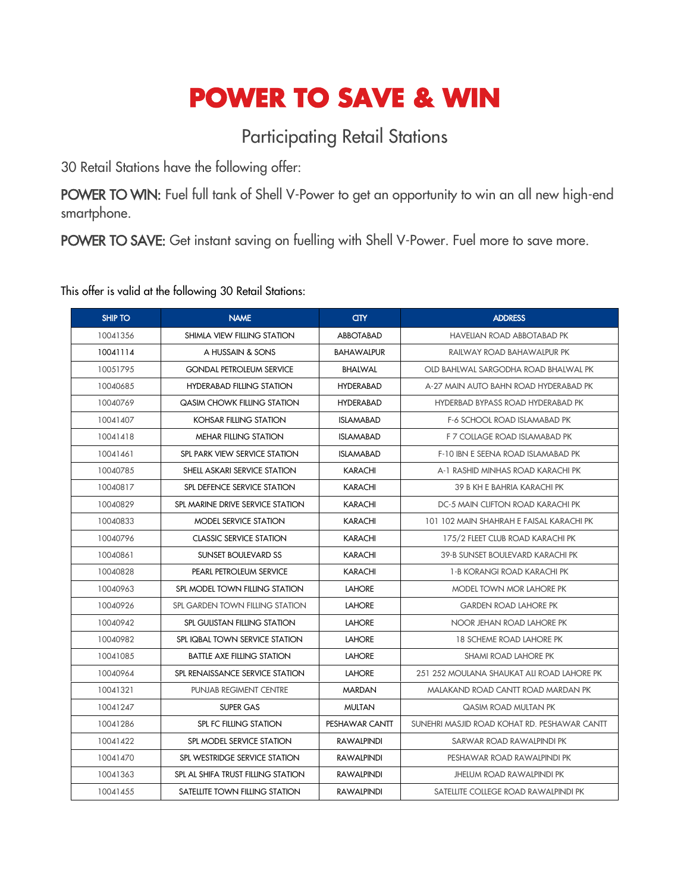## **POWER TO SAVE & WIN**

## Participating Retail Stations

30 Retail Stations have the following offer:

POWER TO WIN: Fuel full tank of Shell V-Power to get an opportunity to win an all new high-end smartphone.

POWER TO SAVE: Get instant saving on fuelling with Shell V-Power. Fuel more to save more.

This offer is valid at the following 30 Retail Stations:

| <b>SHIP TO</b>                                 | <b>NAME</b><br><b>an</b>           |                   | <b>ADDRESS</b>                               |
|------------------------------------------------|------------------------------------|-------------------|----------------------------------------------|
| 10041356                                       | SHIMLA VIEW FILLING STATION        | <b>ABBOTABAD</b>  | <b>HAVELIAN ROAD ABBOTABAD PK</b>            |
| 10041114<br>A HUSSAIN & SONS                   |                                    | <b>BAHAWALPUR</b> | RAILWAY ROAD BAHAWALPUR PK                   |
| 10051795<br><b>GONDAL PETROLEUM SERVICE</b>    |                                    | <b>BHALWAL</b>    | OLD BAHLWAL SARGODHA ROAD BHALWAL PK         |
| 10040685<br><b>HYDERABAD FILLING STATION</b>   |                                    | <b>HYDERABAD</b>  | A-27 MAIN AUTO BAHN ROAD HYDERABAD PK        |
| 10040769                                       | <b>QASIM CHOWK FILLING STATION</b> | <b>HYDERABAD</b>  | HYDERBAD BYPASS ROAD HYDERABAD PK            |
| 10041407                                       | KOHSAR FILLING STATION             | <b>ISLAMABAD</b>  | <b>F-6 SCHOOL ROAD ISLAMABAD PK</b>          |
| 10041418                                       | <b>MEHAR FILLING STATION</b>       | <b>ISLAMABAD</b>  | F 7 COLLAGE ROAD ISLAMABAD PK                |
| 10041461                                       | SPL PARK VIEW SERVICE STATION      | <b>ISLAMABAD</b>  | F-10 IBN E SEENA ROAD ISLAMABAD PK           |
| 10040785                                       | SHELL ASKARI SERVICE STATION       | <b>KARACHI</b>    | A-1 RASHID MINHAS ROAD KARACHI PK            |
| 10040817                                       | SPL DEFENCE SERVICE STATION        | <b>KARACHI</b>    | 39 B KH E BAHRIA KARACHI PK                  |
| 10040829                                       | SPL MARINE DRIVE SERVICE STATION   | <b>KARACHI</b>    | DC-5 MAIN CLIFTON ROAD KARACHI PK            |
| 10040833                                       | MODEL SERVICE STATION              | <b>KARACHI</b>    | 101 102 MAIN SHAHRAH E FAISAL KARACHI PK     |
| 10040796                                       | <b>CLASSIC SERVICE STATION</b>     | <b>KARACHI</b>    | 175/2 FLEET CLUB ROAD KARACHI PK             |
| 10040861                                       | SUNSET BOULEVARD SS                | <b>KARACHI</b>    | 39-B SUNSET BOULEVARD KARACHI PK             |
| 10040828                                       | PEARL PETROLEUM SERVICE            | <b>KARACHI</b>    | 1-B KORANGI ROAD KARACHI PK                  |
| 10040963                                       | SPL MODEL TOWN FILLING STATION     | <b>LAHORE</b>     | MODEL TOWN MOR LAHORE PK                     |
| 10040926<br>SPL GARDEN TOWN FILLING STATION    |                                    | <b>LAHORE</b>     | <b>GARDEN ROAD LAHORE PK</b>                 |
| 10040942<br>SPL GULISTAN FILLING STATION       |                                    | <b>LAHORE</b>     | NOOR JEHAN ROAD LAHORE PK                    |
| 10040982<br>SPL IQBAL TOWN SERVICE STATION     |                                    | <b>LAHORE</b>     | <b>18 SCHEME ROAD LAHORE PK</b>              |
| 10041085                                       | <b>BATTLE AXE FILLING STATION</b>  | <b>LAHORE</b>     | <b>SHAMI ROAD LAHORE PK</b>                  |
| 10040964                                       | SPL RENAISSANCE SERVICE STATION    | <b>LAHORE</b>     | 251 252 MOULANA SHAUKAT ALL ROAD LAHORE PK   |
| PUNJAB REGIMENT CENTRE<br>10041321             |                                    | <b>MARDAN</b>     | MALAKAND ROAD CANTT ROAD MARDAN PK           |
| 10041247<br><b>SUPER GAS</b>                   |                                    | <b>MULTAN</b>     | QASIM ROAD MULTAN PK                         |
| 10041286                                       | <b>SPL FC FILLING STATION</b>      |                   | SUNEHRI MASJID ROAD KOHAT RD. PESHAWAR CANTT |
| 10041422                                       | SPL MODEL SERVICE STATION          | RAWALPINDI        | SARWAR ROAD RAWAIPINDI PK                    |
| 10041470<br>SPL WESTRIDGE SERVICE STATION      |                                    | <b>RAWALPINDI</b> | PESHAWAR ROAD RAWALPINDI PK                  |
| 10041363<br>SPL AL SHIFA TRUST FILLING STATION |                                    | <b>RAWALPINDI</b> | <b>JHELUM ROAD RAWALPINDI PK</b>             |
| 10041455<br>SATELLITE TOWN FILLING STATION     |                                    | <b>RAWALPINDI</b> | SATELLITE COLLEGE ROAD RAWALPINDI PK         |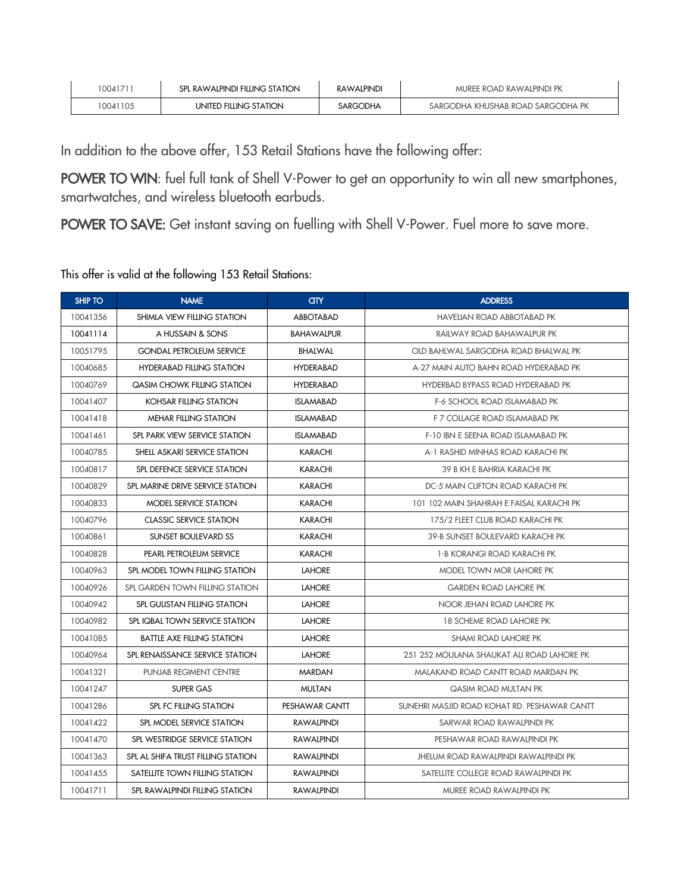| 1004171  | SPL RAWALPINDI FILLING STATION | <b>RAWALPINDI</b> | MUREE ROAD RAWALPINDI PK          |
|----------|--------------------------------|-------------------|-----------------------------------|
| 10041105 | UNITED FILLING STATION         | SARGODHA          | SARGODHA KHUSHAB ROAD SARGODHA PK |

In addition to the above offer, 153 Retail Stations have the following offer:

POWER TO WIN: fuel full tank of Shell V-Power to get an opportunity to win all new smartphones, smartwatches, and wireless bluetooth earbuds.

POWER TO SAVE: Get instant saving on fuelling with Shell V-Power. Fuel more to save more.

This offer is valid at the following 153 Retail Stations:

| <b>SHIP TO</b> | <b>NAME</b>                         | <b>CITY</b>       | <b>ADDRESS</b>                               |
|----------------|-------------------------------------|-------------------|----------------------------------------------|
| 10041356       | SHIMLA VIEW FILLING STATION         | <b>ABBOTABAD</b>  | <b>HAVELIAN ROAD ABBOTABAD PK</b>            |
| 10041114       | A HUSSAIN & SONS                    | <b>BAHAWALPUR</b> | RAILWAY ROAD BAHAWALPUR PK                   |
| 10051795       | <b>GONDAL PETROLEUM SERVICE</b>     | <b>BHALWAL</b>    | OLD BAHLWAL SARGODHA ROAD BHALWAL PK         |
| 10040685       | <b>HYDERABAD FILLING STATION</b>    | <b>HYDERABAD</b>  | A-27 MAIN AUTO BAHN ROAD HYDERABAD PK        |
| 10040769       | <b>QASIM CHOWK FILLING STATION</b>  | <b>HYDERABAD</b>  | HYDERBAD BYPASS ROAD HYDERABAD PK            |
| 10041407       | <b>KOHSAR FILLING STATION</b>       | <b>ISLAMABAD</b>  | <b>F-6 SCHOOL ROAD ISLAMABAD PK</b>          |
| 10041418       | MEHAR FILLING STATION               | <b>ISLAMABAD</b>  | F 7 COLLAGE ROAD ISLAMABAD PK                |
| 10041461       | SPL PARK VIEW SERVICE STATION       | <b>ISLAMABAD</b>  | F-10 IBN E SEENA ROAD ISLAMABAD PK           |
| 10040785       | SHELL ASKARI SERVICE STATION        | <b>KARACHI</b>    | A-1 RASHID MINHAS ROAD KARACHI PK            |
| 10040817       | SPL DEFENCE SERVICE STATION         | <b>KARACHI</b>    | 39 B KH E BAHRIA KARACHI PK                  |
| 10040829       | SPL MARINE DRIVE SERVICE STATION    | <b>KARACHI</b>    | DC-5 MAIN CLIFTON ROAD KARACHI PK            |
| 10040833       | MODEL SERVICE STATION               | <b>KARACHI</b>    | 101 102 MAIN SHAHRAH E FAISAL KARACHI PK     |
| 10040796       | <b>CLASSIC SERVICE STATION</b>      | <b>KARACHI</b>    | 175/2 FLEET CLUB ROAD KARACHI PK             |
| 10040861       | <b>SUNSET BOULEVARD SS</b>          | <b>KARACHI</b>    | 39-B SUNSET BOULEVARD KARACHI PK             |
| 10040828       | PEARL PETROLEUM SERVICE             | <b>KARACHI</b>    | 1-B KORANGI ROAD KARACHI PK                  |
| 10040963       | SPL MODEL TOWN FILLING STATION      | <b>LAHORE</b>     | MODEL TOWN MOR LAHORE PK                     |
| 10040926       | SPL GARDEN TOWN FILLING STATION     | <b>LAHORE</b>     | <b>GARDEN ROAD LAHORE PK</b>                 |
| 10040942       | <b>SPL GULISTAN FILLING STATION</b> | <b>LAHORE</b>     | NOOR JEHAN ROAD LAHORE PK                    |
| 10040982       | SPL IQBAL TOWN SERVICE STATION      | <b>LAHORE</b>     | <b>18 SCHEME ROAD LAHORE PK</b>              |
| 10041085       | <b>BATTLE AXE FILLING STATION</b>   | <b>LAHORE</b>     | <b>SHAMI ROAD LAHORE PK</b>                  |
| 10040964       | SPL RENAISSANCE SERVICE STATION     | <b>LAHORE</b>     | 251 252 MOULANA SHAUKAT ALI ROAD LAHORE PK   |
| 10041321       | PUNJAB REGIMENT CENTRE              | <b>MARDAN</b>     | MALAKAND ROAD CANTT ROAD MARDAN PK           |
| 10041247       | <b>SUPER GAS</b>                    | <b>MULTAN</b>     | QASIM ROAD MULTAN PK                         |
| 10041286       | SPL FC FILLING STATION              | PESHAWAR CANTT    | SUNEHRI MASJID ROAD KOHAT RD. PESHAWAR CANTT |
| 10041422       | SPL MODEL SERVICE STATION           | <b>RAWALPINDI</b> | SARWAR ROAD RAWALPINDI PK                    |
| 10041470       | SPL WESTRIDGE SERVICE STATION       | <b>RAWALPINDI</b> | PESHAWAR ROAD RAWALPINDI PK                  |
| 10041363       | SPL AL SHIFA TRUST FILLING STATION  | <b>RAWALPINDI</b> | <b>JHELUM ROAD RAWALPINDI RAWALPINDI PK</b>  |
| 10041455       | SATELLITE TOWN FILLING STATION      | <b>RAWALPINDI</b> | SATELLITE COLLEGE ROAD RAWALPINDI PK         |
| 10041711       | SPL RAWALPINDI FILLING STATION      | <b>RAWALPINDI</b> | MUREE ROAD RAWALPINDI PK                     |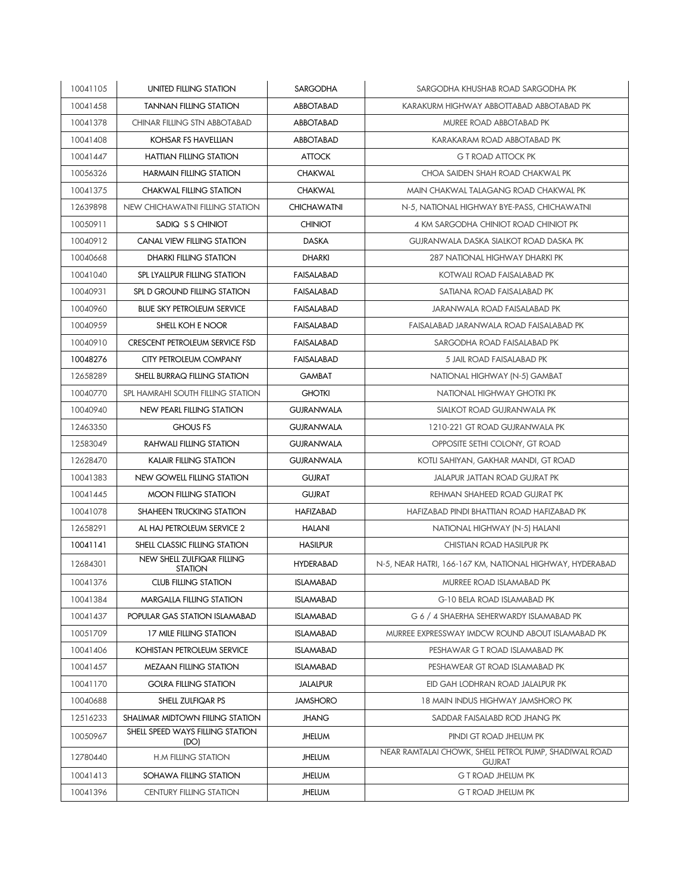| 10041105 | UNITED FILLING STATION                       | SARGODHA           | SARGODHA KHUSHAB ROAD SARGODHA PK                                      |
|----------|----------------------------------------------|--------------------|------------------------------------------------------------------------|
| 10041458 | <b>TANNAN FILLING STATION</b>                | <b>ABBOTABAD</b>   | KARAKURM HIGHWAY ABBOTTABAD ABBOTABAD PK                               |
| 10041378 | <b>CHINAR FILLING STN ABBOTABAD</b>          | ABBOTABAD          | MUREE ROAD ABBOTABAD PK                                                |
| 10041408 | KOHSAR FS HAVELLIAN                          | <b>ABBOTABAD</b>   | KARAKARAM ROAD ABBOTABAD PK                                            |
| 10041447 | <b>HATTIAN FILLING STATION</b>               | <b>ATTOCK</b>      | <b>G T ROAD ATTOCK PK</b>                                              |
| 10056326 | <b>HARMAIN FILLING STATION</b>               | <b>CHAKWAL</b>     | CHOA SAIDEN SHAH ROAD CHAKWAL PK                                       |
| 10041375 | <b>CHAKWAL FILLING STATION</b>               | <b>CHAKWAL</b>     | MAIN CHAKWAL TALAGANG ROAD CHAKWAL PK                                  |
| 12639898 | NEW CHICHAWATNI FILLING STATION              | <b>CHICHAWATNI</b> | N-5, NATIONAL HIGHWAY BYE-PASS, CHICHAWATNI                            |
| 10050911 | SADIQ S S CHINIOT                            | <b>CHINIOT</b>     | 4 KM SARGODHA CHINIOT ROAD CHINIOT PK                                  |
| 10040912 | <b>CANAL VIEW FILLING STATION</b>            | <b>DASKA</b>       | <b>GUJRANWALA DASKA SIALKOT ROAD DASKA PK</b>                          |
| 10040668 | DHARKI FILLING STATION                       | <b>DHARKI</b>      | 287 NATIONAL HIGHWAY DHARKI PK                                         |
| 10041040 | SPL LYALLPUR FILLING STATION                 | <b>FAISALABAD</b>  | KOTWALI ROAD FAISALABAD PK                                             |
| 10040931 | SPL D GROUND FILLING STATION                 | FAISALABAD         | SATIANA ROAD FAISALABAD PK                                             |
| 10040960 | <b>BLUE SKY PETROLEUM SERVICE</b>            | <b>FAISALABAD</b>  | JARANWALA ROAD FAISALABAD PK                                           |
| 10040959 | SHELL KOH E NOOR                             | FAISALABAD         | FAISALABAD JARANWALA ROAD FAISALABAD PK                                |
| 10040910 | <b>CRESCENT PETROLEUM SERVICE FSD</b>        | <b>FAISALABAD</b>  | SARGODHA ROAD FAISALABAD PK                                            |
| 10048276 | CITY PETROLEUM COMPANY                       | FAISALABAD         | 5 JAIL ROAD FAISALABAD PK                                              |
| 12658289 | SHELL BURRAQ FILLING STATION                 | <b>GAMBAT</b>      | NATIONAL HIGHWAY (N-5) GAMBAT                                          |
| 10040770 | SPL HAMRAHI SOUTH FILLING STATION            | <b>GHOTKI</b>      | NATIONAL HIGHWAY GHOTKI PK                                             |
| 10040940 | <b>NEW PEARL FILLING STATION</b>             | <b>GUJRANWALA</b>  | SIALKOT ROAD GUJRANWALA PK                                             |
| 12463350 | <b>GHOUS FS</b>                              | <b>GUJRANWALA</b>  | 1210-221 GT ROAD GUJRANWALA PK                                         |
| 12583049 | <b>RAHWALI FILLING STATION</b>               | <b>GUJRANWALA</b>  | OPPOSITE SETHI COLONY, GT ROAD                                         |
| 12628470 | KALAIR FILLING STATION                       | <b>GUJRANWALA</b>  | KOTLI SAHIYAN, GAKHAR MANDI, GT ROAD                                   |
| 10041383 | NEW GOWELL FILLING STATION                   | <b>GUJRAT</b>      | <b>JALAPUR JATTAN ROAD GUJRAT PK</b>                                   |
| 10041445 | <b>MOON FILLING STATION</b>                  | <b>GUJRAT</b>      | REHMAN SHAHEED ROAD GUJRAT PK                                          |
| 10041078 | SHAHEEN TRUCKING STATION                     | <b>HAFIZABAD</b>   | HAFIZABAD PINDI BHATTIAN ROAD HAFIZABAD PK                             |
| 12658291 | AL HAJ PETROLEUM SERVICE 2                   | <b>HALANI</b>      | NATIONAL HIGHWAY (N-5) HALANI                                          |
| 10041141 | SHELL CLASSIC FILLING STATION                | <b>HASILPUR</b>    | <b>CHISTIAN ROAD HASILPUR PK</b>                                       |
| 12684301 | NEW SHELL ZULFIQAR FILLING<br><b>STATION</b> | <b>HYDERABAD</b>   | N-5, NEAR HATRI, 166-167 KM, NATIONAL HIGHWAY, HYDERABAD               |
| 10041376 | <b>CLUB FILLING STATION</b>                  | <b>ISLAMABAD</b>   | MURREE ROAD ISLAMABAD PK                                               |
| 10041384 | <b>MARGALLA FILLING STATION</b>              | <b>ISLAMABAD</b>   | <b>G-10 BELA ROAD ISLAMABAD PK</b>                                     |
| 10041437 | POPULAR GAS STATION ISLAMABAD                | <b>ISLAMABAD</b>   | G 6 / 4 SHAERHA SEHERWARDY ISLAMABAD PK                                |
| 10051709 | 17 MILE FILLING STATION                      | <b>ISLAMABAD</b>   | MURREE EXPRESSWAY IMDCW ROUND ABOUT ISLAMABAD PK                       |
| 10041406 | KOHISTAN PETROLEUM SERVICE                   | <b>ISLAMABAD</b>   | PESHAWAR G T ROAD ISLAMABAD PK                                         |
| 10041457 | <b>MEZAAN FILLING STATION</b>                | <b>ISLAMABAD</b>   | PESHAWEAR GT ROAD ISLAMABAD PK                                         |
| 10041170 | <b>GOLRA FILLING STATION</b>                 | <b>JALALPUR</b>    | EID GAH LODHRAN ROAD JALALPUR PK                                       |
| 10040688 | SHELL ZULFIQAR PS                            | <b>JAMSHORO</b>    | 18 MAIN INDUS HIGHWAY JAMSHORO PK                                      |
| 12516233 | SHALIMAR MIDTOWN FIILING STATION             | <b>JHANG</b>       | SADDAR FAISALABD ROD JHANG PK                                          |
| 10050967 | SHELL SPEED WAYS FILLING STATION<br>(DO)     | <b>JHELUM</b>      | PINDI GT ROAD JHELUM PK                                                |
| 12780440 | <b>H.M FILLING STATION</b>                   | <b>JHELUM</b>      | NEAR RAMTALAI CHOWK, SHELL PETROL PUMP, SHADIWAL ROAD<br><b>GUJRAT</b> |
| 10041413 | SOHAWA FILLING STATION                       | <b>JHELUM</b>      | <b>G T ROAD JHELUM PK</b>                                              |
| 10041396 | <b>CENTURY FILLING STATION</b>               | <b>JHELUM</b>      | <b>G T ROAD JHELUM PK</b>                                              |
|          |                                              |                    |                                                                        |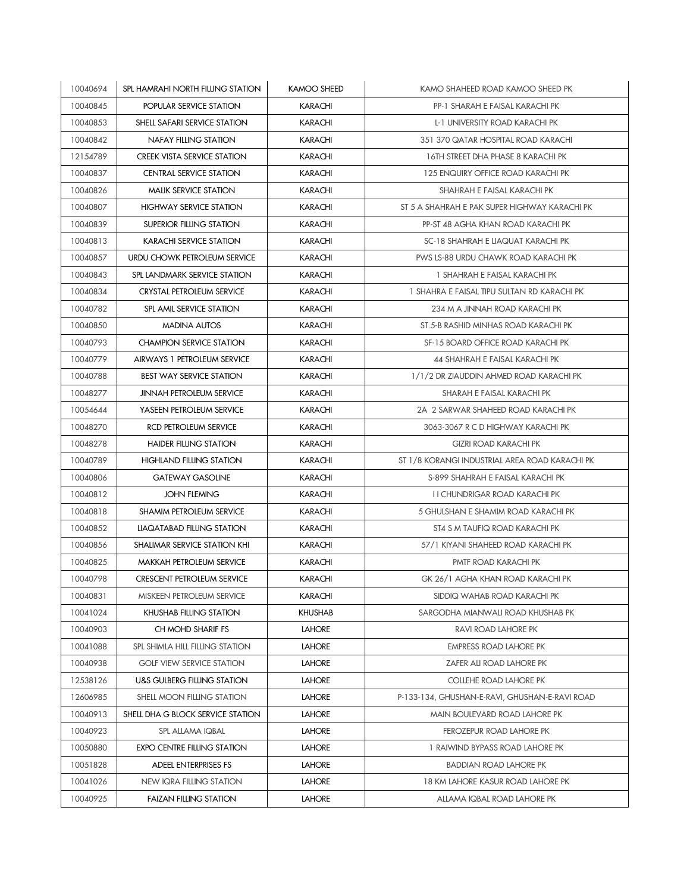| 10040694 | SPL HAMRAHI NORTH FILLING STATION      | KAMOO SHEED    | KAMO SHAHEED ROAD KAMOO SHEED PK               |
|----------|----------------------------------------|----------------|------------------------------------------------|
| 10040845 | POPULAR SERVICE STATION                | <b>KARACHI</b> | PP-1 SHARAH E FAISAL KARACHI PK                |
| 10040853 | SHELL SAFARI SERVICE STATION           | <b>KARACHI</b> | L-1 UNIVERSITY ROAD KARACHI PK                 |
| 10040842 | <b>NAFAY FILLING STATION</b>           | <b>KARACHI</b> | 351 370 QATAR HOSPITAL ROAD KARACHI            |
| 12154789 | <b>CREEK VISTA SERVICE STATION</b>     | <b>KARACHI</b> | 16TH STREET DHA PHASE 8 KARACHI PK             |
| 10040837 | <b>CENTRAL SERVICE STATION</b>         | <b>KARACHI</b> | 125 ENQUIRY OFFICE ROAD KARACHI PK             |
| 10040826 | <b>MALIK SERVICE STATION</b>           | <b>KARACHI</b> | SHAHRAH E FAISAL KARACHI PK                    |
| 10040807 | <b>HIGHWAY SERVICE STATION</b>         | <b>KARACHI</b> | ST 5 A SHAHRAH E PAK SUPER HIGHWAY KARACHI PK  |
| 10040839 | SUPERIOR FILLING STATION               | <b>KARACHI</b> | PP-ST 48 AGHA KHAN ROAD KARACHI PK             |
| 10040813 | <b>KARACHI SERVICE STATION</b>         | <b>KARACHI</b> | SC-18 SHAHRAH E LIAQUAT KARACHI PK             |
| 10040857 | URDU CHOWK PETROLEUM SERVICE           | <b>KARACHI</b> | <b>PWS LS-88 URDU CHAWK ROAD KARACHI PK</b>    |
| 10040843 | SPL LANDMARK SERVICE STATION           | <b>KARACHI</b> | 1 SHAHRAH E FAISAL KARACHI PK                  |
| 10040834 | CRYSTAL PETROLEUM SERVICE              | <b>KARACHI</b> | 1 SHAHRA E FAISAL TIPU SULTAN RD KARACHI PK    |
| 10040782 | SPL AMIL SERVICE STATION               | <b>KARACHI</b> | 234 M A JINNAH ROAD KARACHI PK                 |
| 10040850 | <b>MADINA AUTOS</b>                    | <b>KARACHI</b> | ST.5-B RASHID MINHAS ROAD KARACHI PK           |
| 10040793 | <b>CHAMPION SERVICE STATION</b>        | <b>KARACHI</b> | SF-15 BOARD OFFICE ROAD KARACHI PK             |
| 10040779 | AIRWAYS 1 PETROLEUM SERVICE            | <b>KARACHI</b> | 44 SHAHRAH E FAISAL KARACHI PK                 |
| 10040788 | <b>BEST WAY SERVICE STATION</b>        | <b>KARACHI</b> | 1/1/2 DR ZIAUDDIN AHMED ROAD KARACHI PK        |
| 10048277 | <b>JINNAH PETROLEUM SERVICE</b>        | <b>KARACHI</b> | SHARAH E FAISAL KARACHI PK                     |
| 10054644 | YASEEN PETROLEUM SERVICE               | <b>KARACHI</b> | 2A 2 SARWAR SHAHEED ROAD KARACHI PK            |
| 10048270 | RCD PETROLEUM SERVICE                  | <b>KARACHI</b> | 3063-3067 R C D HIGHWAY KARACHI PK             |
| 10048278 | <b>HAIDER FILLING STATION</b>          | <b>KARACHI</b> | <b>GIZRI ROAD KARACHI PK</b>                   |
| 10040789 | <b>HIGHLAND FILLING STATION</b>        | <b>KARACHI</b> | ST 1/8 KORANGI INDUSTRIAL AREA ROAD KARACHI PK |
| 10040806 | <b>GATEWAY GASOLINE</b>                | <b>KARACHI</b> | S-899 SHAHRAH E FAISAL KARACHI PK              |
| 10040812 | <b>JOHN FLEMING</b>                    | <b>KARACHI</b> | I I CHUNDRIGAR ROAD KARACHI PK                 |
| 10040818 | <b>SHAMIM PETROLEUM SERVICE</b>        | <b>KARACHI</b> | 5 GHULSHAN E SHAMIM ROAD KARACHI PK            |
| 10040852 | LIAQATABAD FILLING STATION             | <b>KARACHI</b> | ST4 S M TAUFIQ ROAD KARACHI PK                 |
| 10040856 | SHALIMAR SERVICE STATION KHI           | <b>KARACHI</b> | 57/1 KIYANI SHAHEED ROAD KARACHI PK            |
| 10040825 | <b>MAKKAH PETROLEUM SERVICE</b>        | <b>KARACHI</b> | PMTF ROAD KARACHI PK                           |
| 10040798 | <b>CRESCENT PETROLEUM SERVICE</b>      | <b>KARACHI</b> | GK 26/1 AGHA KHAN ROAD KARACHI PK              |
| 10040831 | MISKEEN PETROLEUM SERVICE              | KARACHI        | SIDDIQ WAHAB ROAD KARACHI PK                   |
| 10041024 | KHUSHAB FILLING STATION                | <b>KHUSHAB</b> | SARGODHA MIANWALI ROAD KHUSHAB PK              |
| 10040903 | CH MOHD SHARIF FS                      | <b>LAHORE</b>  | <b>RAVI ROAD LAHORE PK</b>                     |
| 10041088 | SPL SHIMLA HILL FILLING STATION        | <b>LAHORE</b>  | <b>EMPRESS ROAD LAHORE PK</b>                  |
| 10040938 | <b>GOLF VIEW SERVICE STATION</b>       | <b>LAHORE</b>  | ZAFER ALI ROAD LAHORE PK                       |
| 12538126 | <b>U&amp;S GULBERG FILLING STATION</b> | <b>LAHORE</b>  | COLLEHE ROAD LAHORE PK                         |
| 12606985 | SHELL MOON FILLING STATION             | <b>LAHORE</b>  | P-133-134, GHUSHAN-E-RAVI, GHUSHAN-E-RAVI ROAD |
| 10040913 | SHELL DHA G BLOCK SERVICE STATION      | <b>LAHORE</b>  | MAIN BOULEVARD ROAD LAHORE PK                  |
| 10040923 | SPL ALLAMA IQBAL                       | <b>LAHORE</b>  | FEROZEPUR ROAD LAHORE PK                       |
| 10050880 | <b>EXPO CENTRE FILLING STATION</b>     | <b>LAHORE</b>  | 1 RAIWIND BYPASS ROAD LAHORE PK                |
| 10051828 | ADEEL ENTERPRISES FS                   | <b>LAHORE</b>  | <b>BADDIAN ROAD LAHORE PK</b>                  |
| 10041026 | <b>NEW IQRA FILLING STATION</b>        | <b>LAHORE</b>  | <b>18 KM LAHORE KASUR ROAD LAHORE PK</b>       |
| 10040925 | <b>FAIZAN FILLING STATION</b>          | <b>LAHORE</b>  | ALLAMA IQBAL ROAD LAHORE PK                    |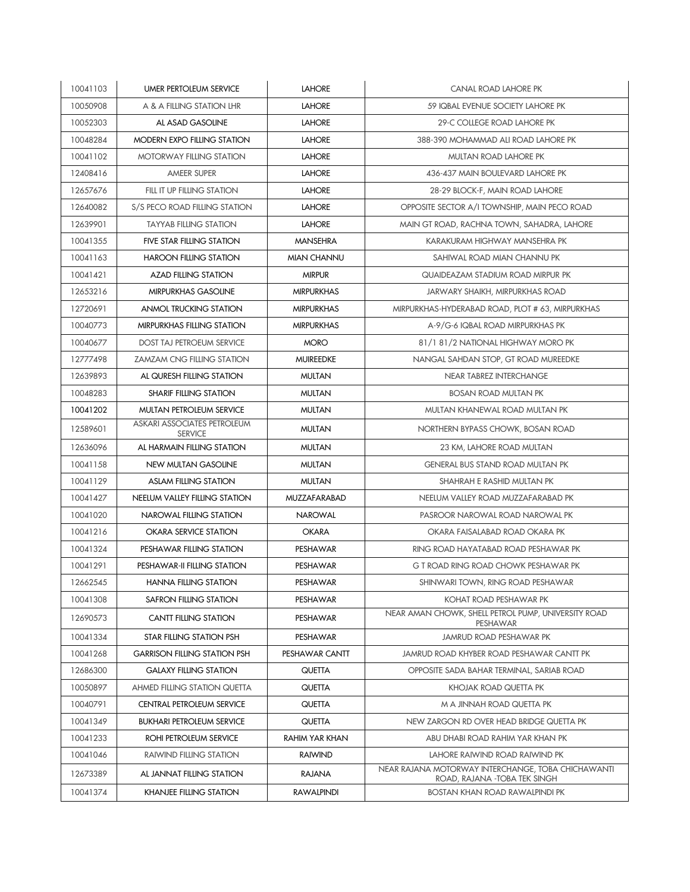| 10041103 | <b>UMER PERTOLEUM SERVICE</b>                 | <b>LAHORE</b>      | CANAL ROAD LAHORE PK                                                               |
|----------|-----------------------------------------------|--------------------|------------------------------------------------------------------------------------|
| 10050908 | A & A FILLING STATION LHR                     | <b>LAHORE</b>      | 59 IQBAL EVENUE SOCIETY LAHORE PK                                                  |
| 10052303 | AL ASAD GASOLINE                              | <b>LAHORE</b>      | 29-C COLLEGE ROAD LAHORE PK                                                        |
| 10048284 | <b>MODERN EXPO FILLING STATION</b>            | <b>LAHORE</b>      | 388-390 MOHAMMAD ALI ROAD LAHORE PK                                                |
| 10041102 | <b>MOTORWAY FILLING STATION</b>               | <b>LAHORE</b>      | MULTAN ROAD LAHORE PK                                                              |
| 12408416 | <b>AMEER SUPER</b>                            | <b>LAHORE</b>      | 436-437 MAIN BOULEVARD LAHORE PK                                                   |
| 12657676 | FILL IT UP FILLING STATION                    | <b>LAHORE</b>      | 28-29 BLOCK-F, MAIN ROAD LAHORE                                                    |
| 12640082 | S/S PECO ROAD FILLING STATION                 | <b>LAHORE</b>      | OPPOSITE SECTOR A/I TOWNSHIP, MAIN PECO ROAD                                       |
| 12639901 | <b>TAYYAB FILLING STATION</b>                 | <b>LAHORE</b>      | MAIN GT ROAD, RACHNA TOWN, SAHADRA, LAHORE                                         |
| 10041355 | <b>FIVE STAR FILLING STATION</b>              | <b>MANSEHRA</b>    | KARAKURAM HIGHWAY MANSEHRA PK                                                      |
| 10041163 | <b>HAROON FILLING STATION</b>                 | <b>MIAN CHANNU</b> | SAHIWAL ROAD MIAN CHANNU PK                                                        |
| 10041421 | <b>AZAD FILLING STATION</b>                   | <b>MIRPUR</b>      | QUAIDEAZAM STADIUM ROAD MIRPUR PK                                                  |
| 12653216 | <b>MIRPURKHAS GASOLINE</b>                    | <b>MIRPURKHAS</b>  | JARWARY SHAIKH, MIRPURKHAS ROAD                                                    |
| 12720691 | <b>ANMOL TRUCKING STATION</b>                 | <b>MIRPURKHAS</b>  | MIRPURKHAS-HYDERABAD ROAD, PLOT # 63, MIRPURKHAS                                   |
| 10040773 | MIRPURKHAS FILLING STATION                    | <b>MIRPURKHAS</b>  | A-9/G-6 IQBAL ROAD MIRPURKHAS PK                                                   |
| 10040677 | <b>DOST TAJ PETROEUM SERVICE</b>              | <b>MORO</b>        | 81/1 81/2 NATIONAL HIGHWAY MORO PK                                                 |
| 12777498 | <b>ZAMZAM CNG FILLING STATION</b>             | <b>MUIREEDKE</b>   | NANGAL SAHDAN STOP, GT ROAD MUREEDKE                                               |
| 12639893 | AL QURESH FILLING STATION                     | <b>MULTAN</b>      | <b>NEAR TABREZ INTERCHANGE</b>                                                     |
| 10048283 | <b>SHARIF FILLING STATION</b>                 | <b>MULTAN</b>      | <b>BOSAN ROAD MULTAN PK</b>                                                        |
| 10041202 | MULTAN PETROLEUM SERVICE                      | <b>MULTAN</b>      | MULTAN KHANEWAL ROAD MULTAN PK                                                     |
| 12589601 | ASKARI ASSOCIATES PETROLEUM<br><b>SERVICE</b> | <b>MULTAN</b>      | NORTHERN BYPASS CHOWK, BOSAN ROAD                                                  |
| 12636096 | AL HARMAIN FILLING STATION                    | <b>MULTAN</b>      | 23 KM, LAHORE ROAD MULTAN                                                          |
| 10041158 | NEW MULTAN GASOLINE                           | <b>MULTAN</b>      | <b>GENERAL BUS STAND ROAD MULTAN PK</b>                                            |
| 10041129 | <b>ASLAM FILLING STATION</b>                  | <b>MULTAN</b>      | SHAHRAH E RASHID MULTAN PK                                                         |
| 10041427 | NEELUM VALLEY FILLING STATION                 | MUZZAFARABAD       | NEELUM VALLEY ROAD MUZZAFARABAD PK                                                 |
| 10041020 | NAROWAL FILLING STATION                       | <b>NAROWAL</b>     | PASROOR NAROWAL ROAD NAROWAL PK                                                    |
| 10041216 | OKARA SERVICE STATION                         | <b>OKARA</b>       | OKARA FAISALABAD ROAD OKARA PK                                                     |
| 10041324 | PESHAWAR FILLING STATION                      | PESHAWAR           | RING ROAD HAYATABAD ROAD PESHAWAR PK                                               |
| 10041291 | PESHAWAR-II FILLING STATION                   | PESHAWAR           | G T ROAD RING ROAD CHOWK PESHAWAR PK                                               |
| 12662545 | <b>HANNA FILLING STATION</b>                  | PESHAWAR           | SHINWARI TOWN, RING ROAD PESHAWAR                                                  |
| 10041308 | SAFRON FILLING STATION                        | PESHAWAR           | KOHAT ROAD PESHAWAR PK                                                             |
| 12690573 | <b>CANTT FILLING STATION</b>                  | PESHAWAR           | NEAR AMAN CHOWK, SHELL PETROL PUMP, UNIVERSITY ROAD<br>PESHAWAR                    |
| 10041334 | STAR FILLING STATION PSH                      | PESHAWAR           | <b>JAMRUD ROAD PESHAWAR PK</b>                                                     |
| 10041268 | <b>GARRISON FILLING STATION PSH</b>           | PESHAWAR CANTT     | JAMRUD ROAD KHYBER ROAD PESHAWAR CANTT PK                                          |
| 12686300 | <b>GALAXY FILLING STATION</b>                 | QUETTA             | OPPOSITE SADA BAHAR TERMINAL, SARIAB ROAD                                          |
| 10050897 | AHMED FILLING STATION QUETTA                  | QUETTA             | KHOJAK ROAD QUETTA PK                                                              |
| 10040791 | <b>CENTRAL PETROLEUM SERVICE</b>              | QUETTA             | M A JINNAH ROAD QUETTA PK                                                          |
| 10041349 | <b>BUKHARI PETROLEUM SERVICE</b>              | <b>QUETTA</b>      | NEW ZARGON RD OVER HEAD BRIDGE QUETTA PK                                           |
| 10041233 | ROHI PETROLEUM SERVICE                        | RAHIM YAR KHAN     | ABU DHABI ROAD RAHIM YAR KHAN PK                                                   |
| 10041046 | <b>RAIWIND FILLING STATION</b>                | <b>RAIWIND</b>     | LAHORE RAIWIND ROAD RAIWIND PK                                                     |
| 12673389 | AL JANNAT FILLING STATION                     | <b>RAJANA</b>      | NEAR RAJANA MOTORWAY INTERCHANGE, TOBA CHICHAWANTI<br>ROAD, RAJANA -TOBA TEK SINGH |
| 10041374 | <b>KHANJEE FILLING STATION</b>                | <b>RAWALPINDI</b>  | <b>BOSTAN KHAN ROAD RAWALPINDI PK</b>                                              |